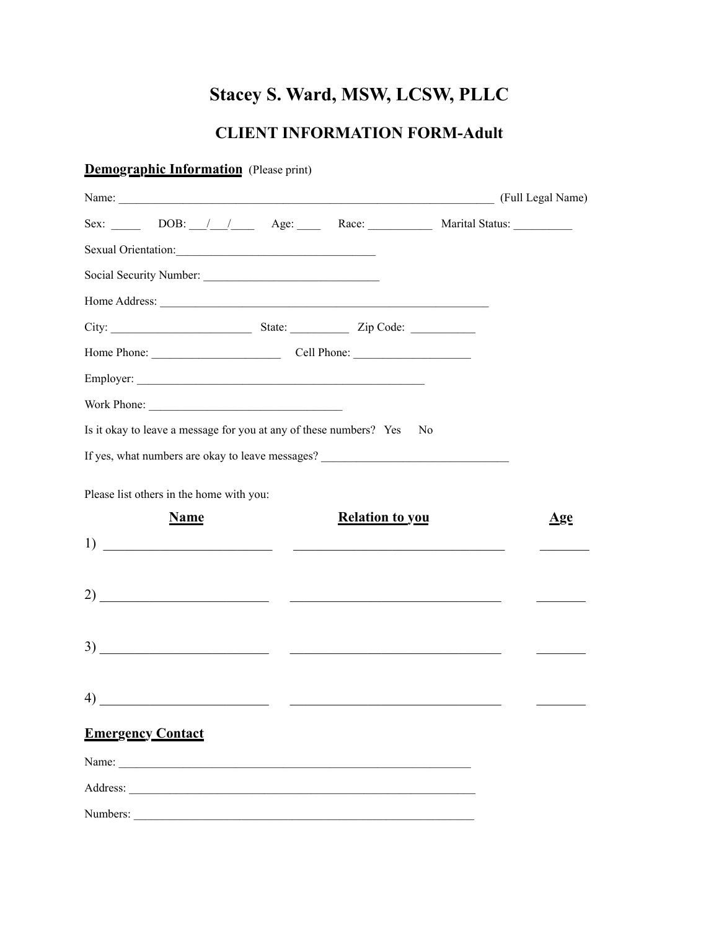# **Stacey S. Ward, MSW, LCSW, PLLC**

# **CLIENT INFORMATION FORM-Adult**

| <b>Demographic Information</b> (Please print)                                                                                                                                                                                                                                                                       |                        |                   |
|---------------------------------------------------------------------------------------------------------------------------------------------------------------------------------------------------------------------------------------------------------------------------------------------------------------------|------------------------|-------------------|
|                                                                                                                                                                                                                                                                                                                     |                        | (Full Legal Name) |
| Sex: DOB: / / Age: Race: Marital Status:                                                                                                                                                                                                                                                                            |                        |                   |
| Sexual Orientation:                                                                                                                                                                                                                                                                                                 |                        |                   |
|                                                                                                                                                                                                                                                                                                                     |                        |                   |
| Home Address: <u>example</u> and the set of the set of the set of the set of the set of the set of the set of the set of the set of the set of the set of the set of the set of the set of the set of the set of the set of the set                                                                                 |                        |                   |
|                                                                                                                                                                                                                                                                                                                     |                        |                   |
| Home Phone: Cell Phone: Cell Phone:                                                                                                                                                                                                                                                                                 |                        |                   |
|                                                                                                                                                                                                                                                                                                                     |                        |                   |
|                                                                                                                                                                                                                                                                                                                     |                        |                   |
| Is it okay to leave a message for you at any of these numbers? Yes                                                                                                                                                                                                                                                  | N <sub>0</sub>         |                   |
| If yes, what numbers are okay to leave messages? ________________________________                                                                                                                                                                                                                                   |                        |                   |
| Please list others in the home with you:                                                                                                                                                                                                                                                                            |                        |                   |
| <b>Name</b>                                                                                                                                                                                                                                                                                                         | <b>Relation to you</b> | <u>Age</u>        |
| $\frac{1}{2}$ $\frac{1}{2}$ $\frac{1}{2}$ $\frac{1}{2}$ $\frac{1}{2}$ $\frac{1}{2}$ $\frac{1}{2}$ $\frac{1}{2}$ $\frac{1}{2}$ $\frac{1}{2}$ $\frac{1}{2}$ $\frac{1}{2}$ $\frac{1}{2}$ $\frac{1}{2}$ $\frac{1}{2}$ $\frac{1}{2}$ $\frac{1}{2}$ $\frac{1}{2}$ $\frac{1}{2}$ $\frac{1}{2}$ $\frac{1}{2}$ $\frac{1}{2}$ |                        |                   |
|                                                                                                                                                                                                                                                                                                                     |                        |                   |
|                                                                                                                                                                                                                                                                                                                     |                        |                   |
|                                                                                                                                                                                                                                                                                                                     |                        |                   |
| $\overline{3}$ )                                                                                                                                                                                                                                                                                                    |                        |                   |
|                                                                                                                                                                                                                                                                                                                     |                        |                   |
| $\overline{4)}$ $\overline{\phantom{1}}$                                                                                                                                                                                                                                                                            |                        |                   |
|                                                                                                                                                                                                                                                                                                                     |                        |                   |
| <b>Emergency Contact</b>                                                                                                                                                                                                                                                                                            |                        |                   |
|                                                                                                                                                                                                                                                                                                                     |                        |                   |
|                                                                                                                                                                                                                                                                                                                     |                        |                   |
| Numbers:                                                                                                                                                                                                                                                                                                            |                        |                   |